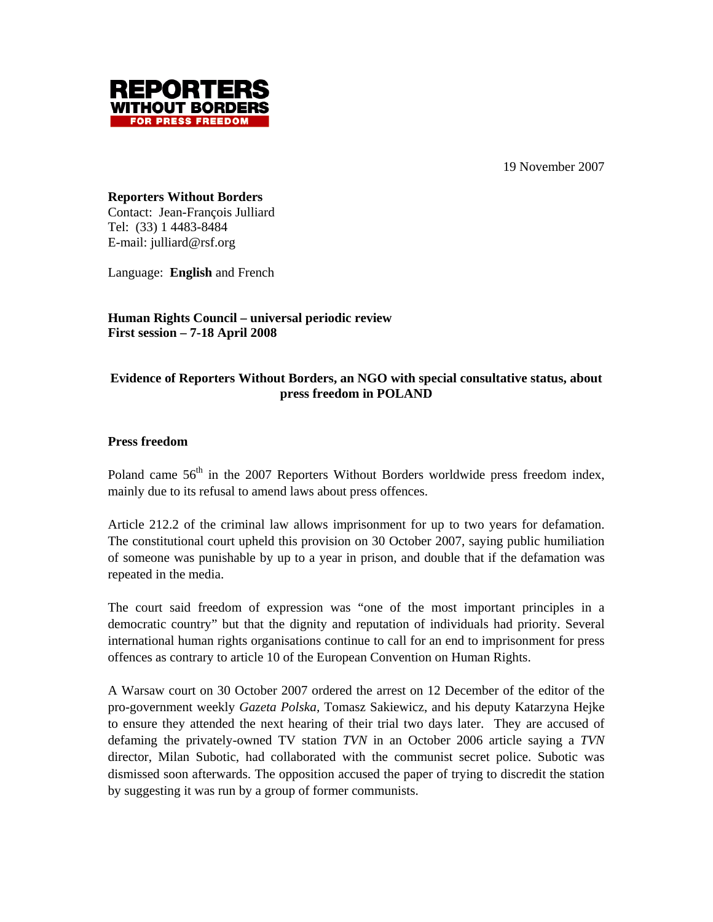19 November 2007



**Reporters Without Borders**  Contact: Jean-François Julliard Tel: (33) 1 4483-8484 E-mail: julliard@rsf.org

Language: **English** and French

**Human Rights Council – universal periodic review First session – 7-18 April 2008**

# **Evidence of Reporters Without Borders, an NGO with special consultative status, about press freedom in POLAND**

## **Press freedom**

Poland came  $56<sup>th</sup>$  in the 2007 Reporters Without Borders worldwide press freedom index, mainly due to its refusal to amend laws about press offences.

Article 212.2 of the criminal law allows imprisonment for up to two years for defamation. The constitutional court upheld this provision on 30 October 2007, saying public humiliation of someone was punishable by up to a year in prison, and double that if the defamation was repeated in the media.

The court said freedom of expression was "one of the most important principles in a democratic country" but that the dignity and reputation of individuals had priority. Several international human rights organisations continue to call for an end to imprisonment for press offences as contrary to article 10 of the European Convention on Human Rights.

A Warsaw court on 30 October 2007 ordered the arrest on 12 December of the editor of the pro-government weekly *Gazeta Polska,* Tomasz Sakiewicz, and his deputy Katarzyna Hejke to ensure they attended the next hearing of their trial two days later. They are accused of defaming the privately-owned TV station *TVN* in an October 2006 article saying a *TVN*  director, Milan Subotic, had collaborated with the communist secret police. Subotic was dismissed soon afterwards. The opposition accused the paper of trying to discredit the station by suggesting it was run by a group of former communists.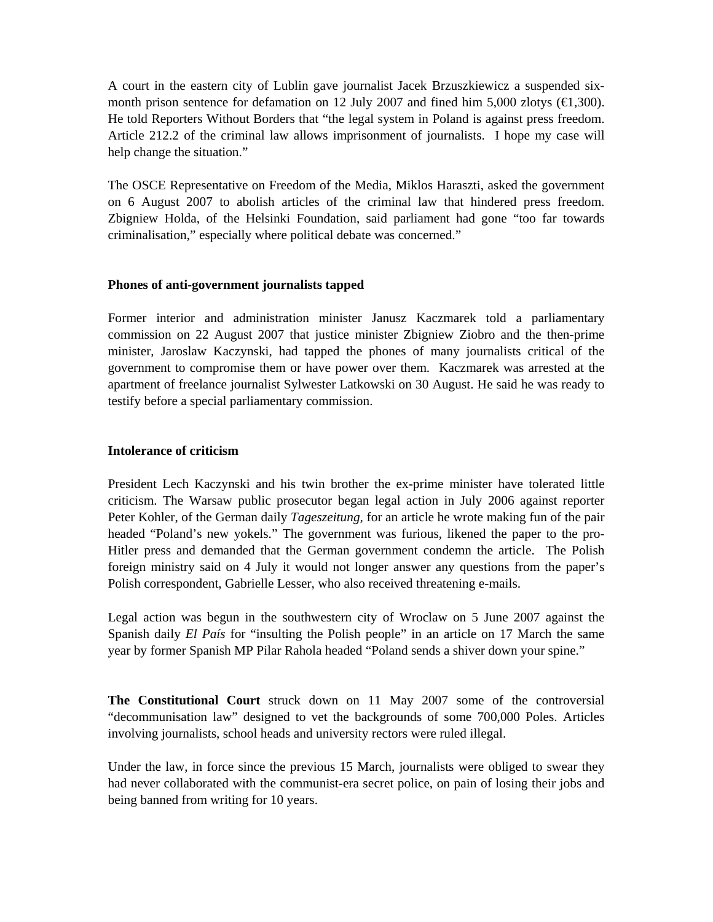A court in the eastern city of Lublin gave journalist Jacek Brzuszkiewicz a suspended sixmonth prison sentence for defamation on 12 July 2007 and fined him 5,000 zlotys  $(\text{ } \in \text{ } 1,300)$ . He told Reporters Without Borders that "the legal system in Poland is against press freedom. Article 212.2 of the criminal law allows imprisonment of journalists. I hope my case will help change the situation."

The OSCE Representative on Freedom of the Media, Miklos Haraszti, asked the government on 6 August 2007 to abolish articles of the criminal law that hindered press freedom. Zbigniew Holda, of the Helsinki Foundation, said parliament had gone "too far towards criminalisation," especially where political debate was concerned."

### **Phones of anti-government journalists tapped**

Former interior and administration minister Janusz Kaczmarek told a parliamentary commission on 22 August 2007 that justice minister Zbigniew Ziobro and the then-prime minister, Jaroslaw Kaczynski, had tapped the phones of many journalists critical of the government to compromise them or have power over them. Kaczmarek was arrested at the apartment of freelance journalist Sylwester Latkowski on 30 August. He said he was ready to testify before a special parliamentary commission.

## **Intolerance of criticism**

President Lech Kaczynski and his twin brother the ex-prime minister have tolerated little criticism. The Warsaw public prosecutor began legal action in July 2006 against reporter Peter Kohler, of the German daily *Tageszeitung,* for an article he wrote making fun of the pair headed "Poland's new yokels." The government was furious, likened the paper to the pro-Hitler press and demanded that the German government condemn the article. The Polish foreign ministry said on 4 July it would not longer answer any questions from the paper's Polish correspondent, Gabrielle Lesser, who also received threatening e-mails.

Legal action was begun in the southwestern city of Wroclaw on 5 June 2007 against the Spanish daily *El País* for "insulting the Polish people" in an article on 17 March the same year by former Spanish MP Pilar Rahola headed "Poland sends a shiver down your spine."

**The Constitutional Court** struck down on 11 May 2007 some of the controversial "decommunisation law" designed to vet the backgrounds of some 700,000 Poles. Articles involving journalists, school heads and university rectors were ruled illegal.

Under the law, in force since the previous 15 March, journalists were obliged to swear they had never collaborated with the communist-era secret police, on pain of losing their jobs and being banned from writing for 10 years.